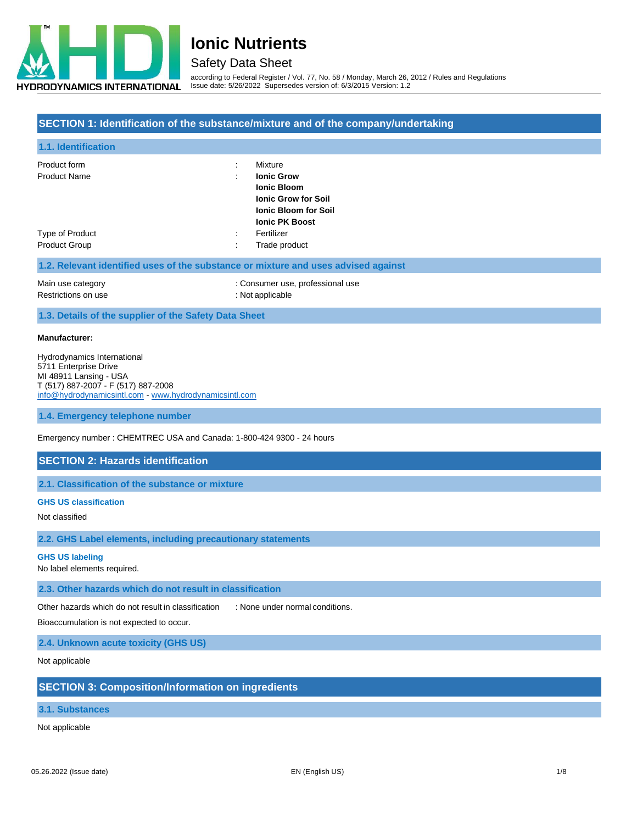

## Safety Data Sheet

according to Federal Register / Vol. 77, No. 58 / Monday, March 26, 2012 / Rules and Regulations Issue date: 5/26/2022 Supersedes version of: 6/3/2015 Version: 1.2

### **SECTION 1: Identification of the substance/mixture and of the company/undertaking**

| 1.1. Identification                                                                |           |                             |
|------------------------------------------------------------------------------------|-----------|-----------------------------|
| Product form                                                                       |           | Mixture                     |
| <b>Product Name</b>                                                                |           | <b>Ionic Grow</b>           |
|                                                                                    |           | <b>Ionic Bloom</b>          |
|                                                                                    |           | <b>Ionic Grow for Soil</b>  |
|                                                                                    |           | <b>Ionic Bloom for Soil</b> |
|                                                                                    |           | <b>Ionic PK Boost</b>       |
| Type of Product                                                                    | $\bullet$ | Fertilizer                  |
| <b>Product Group</b>                                                               |           | Trade product               |
| 1.2. Relevant identified uses of the substance or mixture and uses advised against |           |                             |

| Main use category   | : Consumer use, professional use |
|---------------------|----------------------------------|
| Restrictions on use | : Not applicable                 |

**1.3. Details of the supplier of the Safety Data Sheet**

#### **Manufacturer:**

Hydrodynamics International 5711 Enterprise Drive MI 48911 Lansing - USA T (517) 887-2007 - F (517) 887-2008 [info@hydrodynamicsintl.com](mailto:info@hydrodynamicsintl.com) - [www.hydrodynamicsintl.com](http://www.hydrodynamicsintl.com/)

**1.4. Emergency telephone number**

Emergency number : CHEMTREC USA and Canada: 1-800-424 9300 - 24 hours

### **SECTION 2: Hazards identification**

**2.1. Classification of the substance or mixture**

#### **GHS US classification**

Not classified

**2.2. GHS Label elements, including precautionary statements**

#### **GHS US labeling**

No label elements required.

**2.3. Other hazards which do not result in classification**

Other hazards which do not result in classification : None under normal conditions.

Bioaccumulation is not expected to occur.

**2.4. Unknown acute toxicity (GHS US)**

Not applicable

### **SECTION 3: Composition/Information on ingredients**

### **3.1. Substances**

Not applicable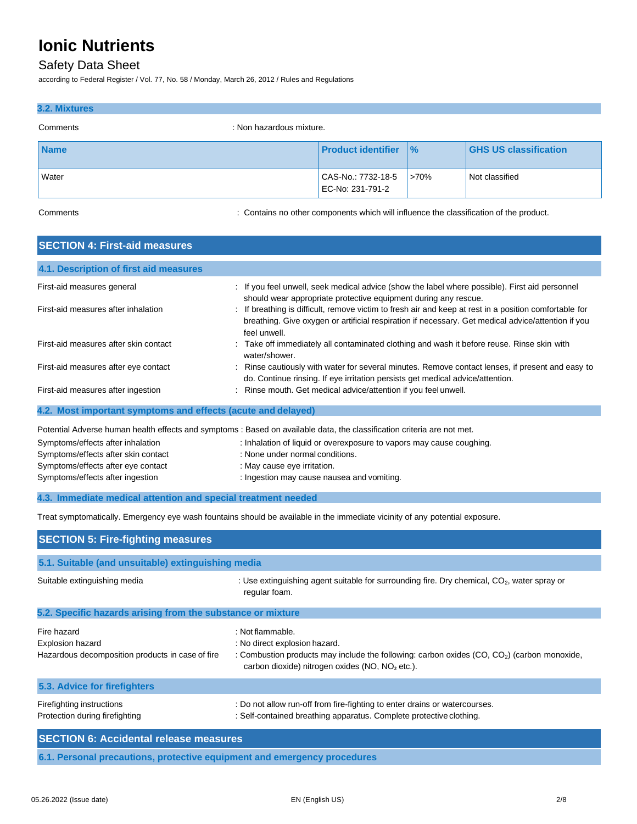## Safety Data Sheet

according to Federal Register / Vol. 77, No. 58 / Monday, March 26, 2012 / Rules and Regulations

### **3.2. Mixtures**

| Comments    | : Non hazardous mixture.               |               |                              |
|-------------|----------------------------------------|---------------|------------------------------|
| <b>Name</b> | <b>Product identifier</b>              | $\frac{9}{6}$ | <b>GHS US classification</b> |
| Water       | CAS-No.: 7732-18-5<br>EC-No: 231-791-2 | >70%          | Not classified               |

Comments **Example 2** Contains no other components which will influence the classification of the product.

| <b>SECTION 4: First-aid measures</b>                          |                                                                                                                                                                                                                            |
|---------------------------------------------------------------|----------------------------------------------------------------------------------------------------------------------------------------------------------------------------------------------------------------------------|
| 4.1. Description of first aid measures                        |                                                                                                                                                                                                                            |
| First-aid measures general                                    | : If you feel unwell, seek medical advice (show the label where possible). First aid personnel<br>should wear appropriate protective equipment during any rescue.                                                          |
| First-aid measures after inhalation                           | If breathing is difficult, remove victim to fresh air and keep at rest in a position comfortable for<br>breathing. Give oxygen or artificial respiration if necessary. Get medical advice/attention if you<br>feel unwell. |
| First-aid measures after skin contact                         | : Take off immediately all contaminated clothing and wash it before reuse. Rinse skin with<br>water/shower.                                                                                                                |
| First-aid measures after eye contact                          | Rinse cautiously with water for several minutes. Remove contact lenses, if present and easy to<br>do. Continue rinsing. If eye irritation persists get medical advice/attention.                                           |
| First-aid measures after ingestion                            | Rinse mouth. Get medical advice/attention if you feel unwell.                                                                                                                                                              |
| 4.2. Most important symptoms and effects (acute and delayed)  |                                                                                                                                                                                                                            |
|                                                               | Potential Adverse human health effects and symptoms : Based on available data, the classification criteria are not met.                                                                                                    |
| Symptoms/effects after inhalation                             | : Inhalation of liquid or overexposure to vapors may cause coughing.                                                                                                                                                       |
| Symptoms/effects after skin contact                           | : None under normal conditions.                                                                                                                                                                                            |
| Symptoms/effects after eye contact                            | : May cause eye irritation.                                                                                                                                                                                                |
| Symptoms/effects after ingestion                              | : Ingestion may cause nausea and vomiting.                                                                                                                                                                                 |
| 4.3. Immediate medical attention and special treatment needed |                                                                                                                                                                                                                            |
|                                                               | Treat symptomatically. Emergency eye wash fountains should be available in the immediate vicinity of any potential exposure.                                                                                               |
| <b>SECTION 5: Fire-fighting measures</b>                      |                                                                                                                                                                                                                            |
| 5.1. Suitable (and unsuitable) extinguishing media            |                                                                                                                                                                                                                            |
| Suitable extinguishing media                                  | : Use extinguishing agent suitable for surrounding fire. Dry chemical, $CO2$ , water spray or<br>regular foam.                                                                                                             |
| 5.2. Specific hazards arising from the substance or mixture   |                                                                                                                                                                                                                            |
| Fire hazard                                                   | : Not flammable.                                                                                                                                                                                                           |
| Explosion hazard                                              | : No direct explosion hazard.                                                                                                                                                                                              |
| Hazardous decomposition products in case of fire              | : Combustion products may include the following: carbon oxides (CO, CO <sub>2</sub> ) (carbon monoxide,<br>carbon dioxide) nitrogen oxides (NO, NO <sub>2</sub> etc.).                                                     |
| 5.3. Advice for firefighters                                  |                                                                                                                                                                                                                            |
| Firefighting instructions                                     | : Do not allow run-off from fire-fighting to enter drains or watercourses.                                                                                                                                                 |

| Protection during firefighting                                           | : Self-contained breathing apparatus. Complete protective clothing. |
|--------------------------------------------------------------------------|---------------------------------------------------------------------|
| <b>SECTION 6: Accidental release measures</b>                            |                                                                     |
| 6.1. Personal precautions, protective equipment and emergency procedures |                                                                     |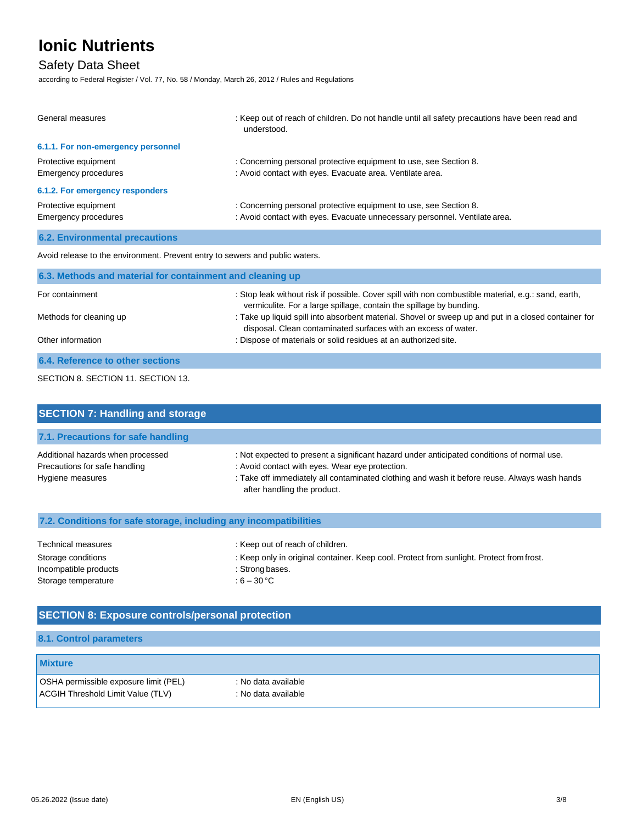## Safety Data Sheet

according to Federal Register / Vol. 77, No. 58 / Monday, March 26, 2012 / Rules and Regulations

| General measures                             | : Keep out of reach of children. Do not handle until all safety precautions have been read and<br>understood.                                   |
|----------------------------------------------|-------------------------------------------------------------------------------------------------------------------------------------------------|
| 6.1.1. For non-emergency personnel           |                                                                                                                                                 |
| Protective equipment<br>Emergency procedures | : Concerning personal protective equipment to use, see Section 8.<br>: Avoid contact with eyes. Evacuate area. Ventilate area.                  |
| 6.1.2. For emergency responders              |                                                                                                                                                 |
| Protective equipment<br>Emergency procedures | : Concerning personal protective equipment to use, see Section 8.<br>: Avoid contact with eyes. Evacuate unnecessary personnel. Ventilate area. |
| <b>6.2. Environmental precautions</b>        |                                                                                                                                                 |

Avoid release to the environment. Prevent entry to sewers and public waters.

| 6.3. Methods and material for containment and cleaning up |                                                                                                                                                                            |  |
|-----------------------------------------------------------|----------------------------------------------------------------------------------------------------------------------------------------------------------------------------|--|
| For containment                                           | : Stop leak without risk if possible. Cover spill with non combustible material, e.g.: sand, earth,<br>vermiculite. For a large spillage, contain the spillage by bunding. |  |
| Methods for cleaning up                                   | : Take up liquid spill into absorbent material. Shovel or sweep up and put in a closed container for<br>disposal. Clean contaminated surfaces with an excess of water.     |  |
| Other information                                         | : Dispose of materials or solid residues at an authorized site.                                                                                                            |  |
| 6.4. Reference to other sections                          |                                                                                                                                                                            |  |

### SECTION 8. SECTION 11. SECTION 13.

| <b>SECTION 7: Handling and storage</b>                                                 |                                                                                                                                                                                                                                                                              |
|----------------------------------------------------------------------------------------|------------------------------------------------------------------------------------------------------------------------------------------------------------------------------------------------------------------------------------------------------------------------------|
| 7.1. Precautions for safe handling                                                     |                                                                                                                                                                                                                                                                              |
| Additional hazards when processed<br>Precautions for safe handling<br>Hygiene measures | : Not expected to present a significant hazard under anticipated conditions of normal use.<br>: Avoid contact with eyes. Wear eye protection.<br>: Take off immediately all contaminated clothing and wash it before reuse. Always wash hands<br>after handling the product. |

## **7.2. Conditions for safe storage, including any incompatibilities**

| Technical measures    | : Keep out of reach of children.                                                         |
|-----------------------|------------------------------------------------------------------------------------------|
| Storage conditions    | : Keep only in original container. Keep cool. Protect from sunlight. Protect from frost. |
| Incompatible products | : Strong bases.                                                                          |
| Storage temperature   | : 6 – 30 °C                                                                              |

## **SECTION 8: Exposure controls/personal protection**

### **8.1. Control parameters**

| <b>Mixture</b>                        |                     |
|---------------------------------------|---------------------|
| OSHA permissible exposure limit (PEL) | : No data available |
| ACGIH Threshold Limit Value (TLV)     | : No data available |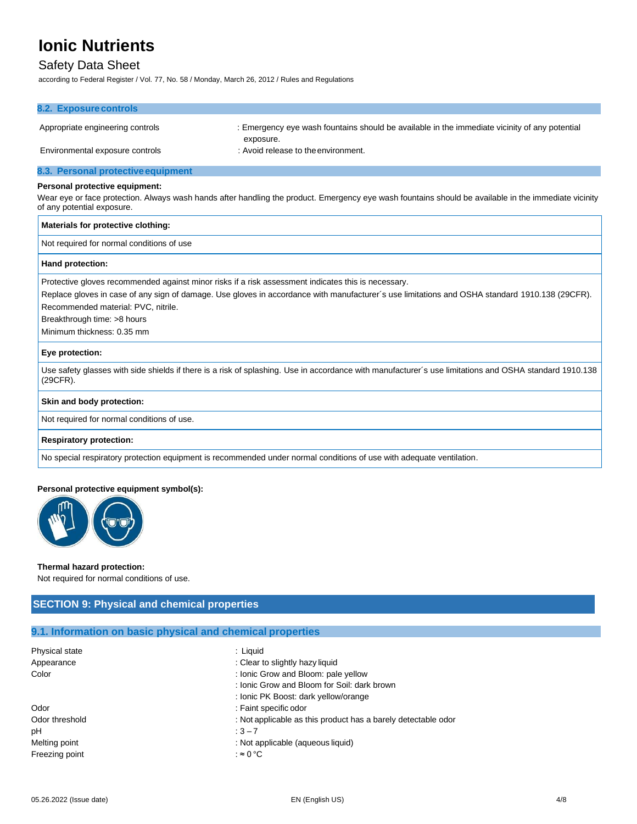## Safety Data Sheet

according to Federal Register / Vol. 77, No. 58 / Monday, March 26, 2012 / Rules and Regulations

| 8.2. Exposure controls                                                                              |                                                                                                                                                        |  |
|-----------------------------------------------------------------------------------------------------|--------------------------------------------------------------------------------------------------------------------------------------------------------|--|
| Appropriate engineering controls                                                                    | : Emergency eye wash fountains should be available in the immediate vicinity of any potential                                                          |  |
| Environmental exposure controls                                                                     | exposure.<br>: Avoid release to the environment.                                                                                                       |  |
| 8.3. Personal protective equipment                                                                  |                                                                                                                                                        |  |
| Personal protective equipment:                                                                      |                                                                                                                                                        |  |
| of any potential exposure.                                                                          | Wear eye or face protection. Always wash hands after handling the product. Emergency eye wash fountains should be available in the immediate vicinity  |  |
| Materials for protective clothing:                                                                  |                                                                                                                                                        |  |
| Not required for normal conditions of use                                                           |                                                                                                                                                        |  |
| Hand protection:                                                                                    |                                                                                                                                                        |  |
| Protective gloves recommended against minor risks if a risk assessment indicates this is necessary. |                                                                                                                                                        |  |
|                                                                                                     | Replace gloves in case of any sign of damage. Use gloves in accordance with manufacturer's use limitations and OSHA standard 1910.138 (29CFR).         |  |
| Recommended material: PVC, nitrile.                                                                 |                                                                                                                                                        |  |
| Breakthrough time: >8 hours                                                                         |                                                                                                                                                        |  |
| Minimum thickness: 0.35 mm                                                                          |                                                                                                                                                        |  |
| Eye protection:                                                                                     |                                                                                                                                                        |  |
| (29CFR).                                                                                            | Use safety glasses with side shields if there is a risk of splashing. Use in accordance with manufacturer's use limitations and OSHA standard 1910.138 |  |
| Skin and body protection:                                                                           |                                                                                                                                                        |  |
| Not required for normal conditions of use.                                                          |                                                                                                                                                        |  |
| <b>Respiratory protection:</b>                                                                      |                                                                                                                                                        |  |
|                                                                                                     | No special respiratory protection equipment is recommended under normal conditions of use with adequate ventilation.                                   |  |
| Personal protective equipment symbol(s):                                                            |                                                                                                                                                        |  |



### **Thermal hazard protection:**

Not required for normal conditions of use.

## **SECTION 9: Physical and chemical properties**

## **9.1. Information on basic physical and chemical properties**

| Physical state | : Liauid                                                      |
|----------------|---------------------------------------------------------------|
| Appearance     | : Clear to slightly hazy liquid                               |
| Color          | : Ionic Grow and Bloom: pale yellow                           |
|                | : Ionic Grow and Bloom for Soil: dark brown                   |
|                | : Ionic PK Boost: dark yellow/orange                          |
| Odor           | : Faint specific odor                                         |
| Odor threshold | : Not applicable as this product has a barely detectable odor |
| рH             | $3 - 7$                                                       |
| Melting point  | : Not applicable (aqueous liquid)                             |
| Freezing point | :≈0°C                                                         |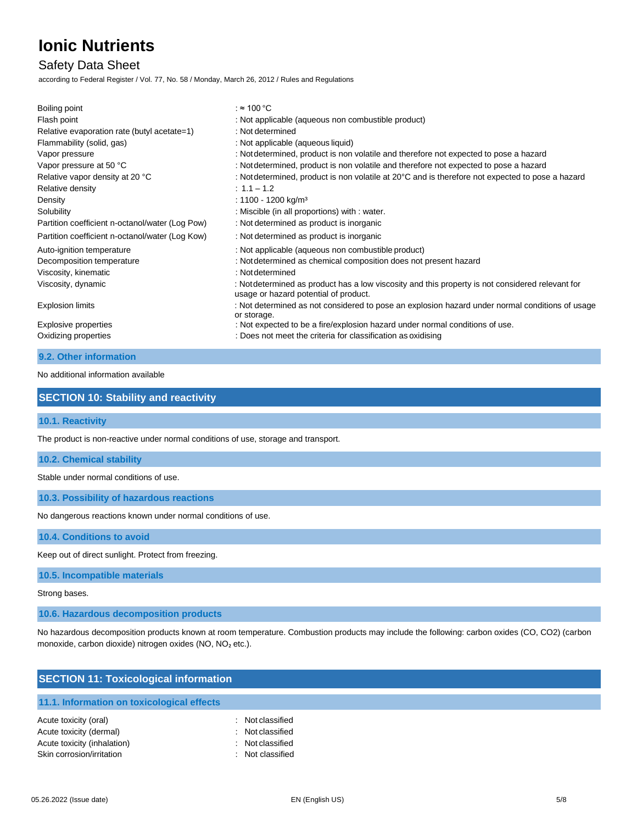## Safety Data Sheet

according to Federal Register / Vol. 77, No. 58 / Monday, March 26, 2012 / Rules and Regulations

| Boiling point                                   | : ≈ 100 °C                                                                                                                                |
|-------------------------------------------------|-------------------------------------------------------------------------------------------------------------------------------------------|
| Flash point                                     | : Not applicable (aqueous non combustible product)                                                                                        |
| Relative evaporation rate (butyl acetate=1)     | : Not determined                                                                                                                          |
| Flammability (solid, gas)                       | : Not applicable (aqueous liquid)                                                                                                         |
| Vapor pressure                                  | : Not determined, product is non volatile and therefore not expected to pose a hazard                                                     |
| Vapor pressure at 50 °C                         | : Not determined, product is non volatile and therefore not expected to pose a hazard                                                     |
| Relative vapor density at 20 °C                 | : Not determined, product is non volatile at 20°C and is therefore not expected to pose a hazard                                          |
| Relative density                                | $: 1.1 - 1.2$                                                                                                                             |
| Density                                         | : 1100 - 1200 kg/m <sup>3</sup>                                                                                                           |
| Solubility                                      | : Miscible (in all proportions) with : water.                                                                                             |
| Partition coefficient n-octanol/water (Log Pow) | : Not determined as product is inorganic                                                                                                  |
| Partition coefficient n-octanol/water (Log Kow) | : Not determined as product is inorganic                                                                                                  |
| Auto-ignition temperature                       | : Not applicable (aqueous non combustible product)                                                                                        |
| Decomposition temperature                       | : Not determined as chemical composition does not present hazard                                                                          |
| Viscosity, kinematic                            | : Not determined                                                                                                                          |
| Viscosity, dynamic                              | : Not determined as product has a low viscosity and this property is not considered relevant for<br>usage or hazard potential of product. |
| <b>Explosion limits</b>                         | : Not determined as not considered to pose an explosion hazard under normal conditions of usage<br>or storage.                            |
| Explosive properties                            | : Not expected to be a fire/explosion hazard under normal conditions of use.                                                              |
| Oxidizing properties                            | : Does not meet the criteria for classification as oxidising                                                                              |
| 9.2. Other information                          |                                                                                                                                           |

No additional information available

### **SECTION 10: Stability and reactivity**

### **10.1. Reactivity**

The product is non-reactive under normal conditions of use, storage and transport.

#### **10.2. Chemical stability**

Stable under normal conditions of use.

#### **10.3. Possibility of hazardous reactions**

No dangerous reactions known under normal conditions of use.

**10.4. Conditions to avoid**

Keep out of direct sunlight. Protect from freezing.

#### **10.5. Incompatible materials**

Strong bases.

**10.6. Hazardous decomposition products**

No hazardous decomposition products known at room temperature. Combustion products may include the following: carbon oxides (CO, CO2) (carbon monoxide, carbon dioxide) nitrogen oxides (NO, NO₂ etc.).

| <b>SECTION 11: Toxicological information</b> |                |  |
|----------------------------------------------|----------------|--|
| 11.1. Information on toxicological effects   |                |  |
| Acute toxicity (oral)                        | Not classified |  |
| Acute toxicity (dermal)                      | Not classified |  |
| Acute toxicity (inhalation)                  | Not classified |  |
| Skin corrosion/irritation                    | Not classified |  |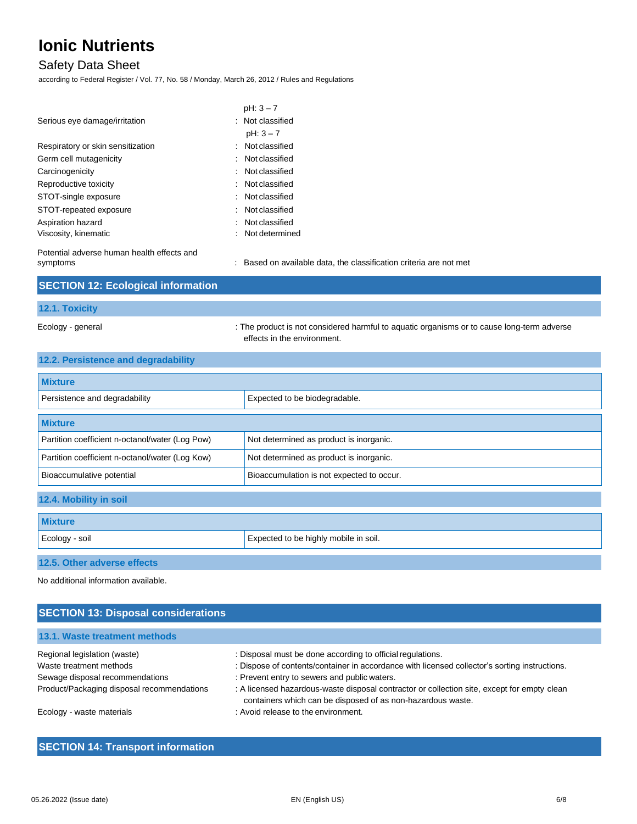## Safety Data Sheet

according to Federal Register / Vol. 77, No. 58 / Monday, March 26, 2012 / Rules and Regulations

|                                            | $pH: 3 - 7$      |
|--------------------------------------------|------------------|
| Serious eye damage/irritation              | : Not classified |
|                                            | $pH: 3 - 7$      |
| Respiratory or skin sensitization          | Not classified   |
| Germ cell mutagenicity                     | Not classified   |
| Carcinogenicity                            | : Not classified |
| Reproductive toxicity                      | : Not classified |
| STOT-single exposure                       | Not classified   |
| STOT-repeated exposure                     | Not classified   |
| Aspiration hazard                          | Not classified   |
| Viscosity, kinematic                       | Not determined   |
| Potential adverse human health effects and |                  |

erse human health effects and

symptoms **in the classification** : Based on available data, the classification criteria are not met

| <b>SECTION 12: Ecological information</b> |  |
|-------------------------------------------|--|
| <b>12.1. Toxicity</b>                     |  |

Ecology - general states of the product is not considered harmful to aquatic organisms or to cause long-term adverse effects in the environment.

| 12.2. Persistence and degradability |  |
|-------------------------------------|--|
|-------------------------------------|--|

| <b>Mixture</b>                                  |                                           |
|-------------------------------------------------|-------------------------------------------|
| Persistence and degradability                   | Expected to be biodegradable.             |
| <b>Mixture</b>                                  |                                           |
| Partition coefficient n-octanol/water (Log Pow) | Not determined as product is inorganic.   |
| Partition coefficient n-octanol/water (Log Kow) | Not determined as product is inorganic.   |
| Bioaccumulative potential                       | Bioaccumulation is not expected to occur. |
| 12.4. Mobility in soil                          |                                           |
| <b>Mixture</b>                                  |                                           |
| Ecology - soil                                  | Expected to be highly mobile in soil.     |
| 12.5. Other adverse effects                     |                                           |

No additional information available.

## **SECTION 13: Disposal considerations**

| 13.1. Waste treatment methods              |                                                                                                                                                            |
|--------------------------------------------|------------------------------------------------------------------------------------------------------------------------------------------------------------|
| Regional legislation (waste)               | : Disposal must be done according to official regulations.                                                                                                 |
| Waste treatment methods                    | : Dispose of contents/container in accordance with licensed collector's sorting instructions.                                                              |
| Sewage disposal recommendations            | : Prevent entry to sewers and public waters.                                                                                                               |
| Product/Packaging disposal recommendations | : A licensed hazardous-waste disposal contractor or collection site, except for empty clean<br>containers which can be disposed of as non-hazardous waste. |
| Ecology - waste materials                  | : Avoid release to the environment.                                                                                                                        |

## **SECTION 14: Transport information**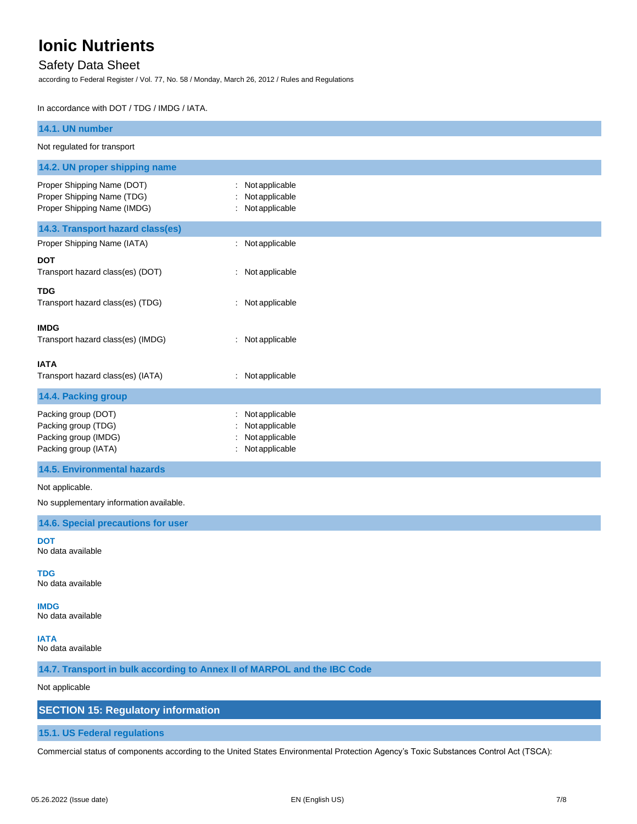## Safety Data Sheet

according to Federal Register / Vol. 77, No. 58 / Monday, March 26, 2012 / Rules and Regulations

In accordance with DOT / TDG / IMDG / IATA.

| 14.1. UN number                                                                            |                                                                    |
|--------------------------------------------------------------------------------------------|--------------------------------------------------------------------|
| Not regulated for transport                                                                |                                                                    |
| 14.2. UN proper shipping name                                                              |                                                                    |
| Proper Shipping Name (DOT)<br>Proper Shipping Name (TDG)<br>Proper Shipping Name (IMDG)    | Notapplicable<br>Not applicable<br>Notapplicable                   |
| 14.3. Transport hazard class(es)                                                           |                                                                    |
| Proper Shipping Name (IATA)                                                                | Not applicable                                                     |
| <b>DOT</b><br>Transport hazard class(es) (DOT)                                             | Not applicable                                                     |
| <b>TDG</b><br>Transport hazard class(es) (TDG)                                             | Not applicable                                                     |
| <b>IMDG</b><br>Transport hazard class(es) (IMDG)                                           | : Not applicable                                                   |
| <b>IATA</b><br>Transport hazard class(es) (IATA)                                           | : Not applicable                                                   |
| 14.4. Packing group                                                                        |                                                                    |
| Packing group (DOT)<br>Packing group (TDG)<br>Packing group (IMDG)<br>Packing group (IATA) | Notapplicable<br>Not applicable<br>Not applicable<br>Notapplicable |

### **14.5. Environmental hazards**

Not applicable.

No supplementary information available.

**14.6. Special precautions for user**

**DOT** No data available

**TDG**

No data available

**IMDG**

No data available

**IATA** No data available

**14.7. Transport in bulk according to Annex II of MARPOL and the IBC Code**

#### Not applicable

### **SECTION 15: Regulatory information**

#### **15.1. US Federal regulations**

Commercial status of components according to the United States Environmental Protection Agency's Toxic Substances Control Act (TSCA):